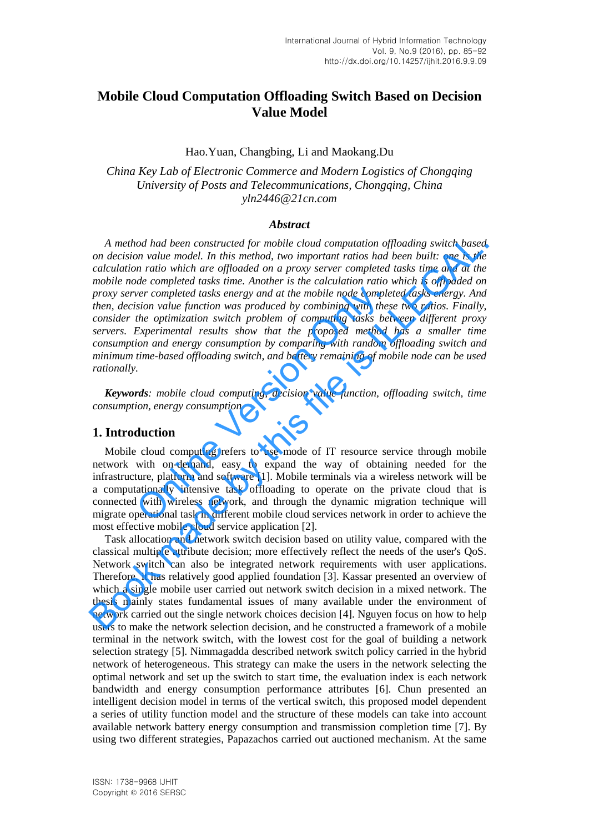# **Mobile Cloud Computation Offloading Switch Based on Decision Value Model**

### Hao.Yuan, Changbing, Li and Maokang.Du

*China Key Lab of Electronic Commerce and Modern Logistics of Chongqing University of Posts and Telecommunications, Chongqing, China yln2446@21cn.com* 

#### *Abstract*

*A method had been constructed for mobile cloud computation offloading switch based on decision value model. In this method, two important ratios had been built: one is the calculation ratio which are offloaded on a proxy server completed tasks time and at the mobile node completed tasks time. Another is the calculation ratio which is offloaded on proxy server completed tasks energy and at the mobile node completed tasks energy. And then, decision value function was produced by combining with these two ratios. Finally, consider the optimization switch problem of computing tasks between different proxy servers. Experimental results show that the proposed method has a smaller time consumption and energy consumption by comparing with random offloading switch and minimum time-based offloading switch, and battery remaining of mobile node can be used rationally.*  ver completed tasks energy and at the mobile node complesion value function was produced by combining with thes<br>the optimization switch problem of computing tasks bet<br>Experimental results show that the proposed method<br>ion A method had been constructed for mobile cloud computation offloading switch based<br>on calcistion value model. In this method, two important ratios had been butili: one is the<br>calcistion value of the interded on a proxy se

*Keywords: mobile cloud computing, decision value function, offloading switch, time consumption, energy consumption* 

### **1. Introduction**

Mobile cloud computing refers to use mode of IT resource service through mobile network with on-demand, easy to expand the way of obtaining needed for the infrastructure, platform and software [1]. Mobile terminals via a wireless network will be a computationally intensive task offloading to operate on the private cloud that is connected with wireless network, and through the dynamic migration technique will migrate operational task in different mobile cloud services network in order to achieve the most effective mobile cloud service application [2].

Task allocation and network switch decision based on utility value, compared with the classical multiple attribute decision; more effectively reflect the needs of the user's QoS. Network switch can also be integrated network requirements with user applications. Therefore, it has relatively good applied foundation [3]. Kassar presented an overview of which a single mobile user carried out network switch decision in a mixed network. The thesis mainly states fundamental issues of many available under the environment of network carried out the single network choices decision [4]. Nguyen focus on how to help users to make the network selection decision, and he constructed a framework of a mobile terminal in the network switch, with the lowest cost for the goal of building a network selection strategy [5]. Nimmagadda described network switch policy carried in the hybrid network of heterogeneous. This strategy can make the users in the network selecting the optimal network and set up the switch to start time, the evaluation index is each network bandwidth and energy consumption performance attributes [6]. Chun presented an intelligent decision model in terms of the vertical switch, this proposed model dependent a series of utility function model and the structure of these models can take into account available network battery energy consumption and transmission completion time [7]. By using two different strategies, Papazachos carried out auctioned mechanism. At the same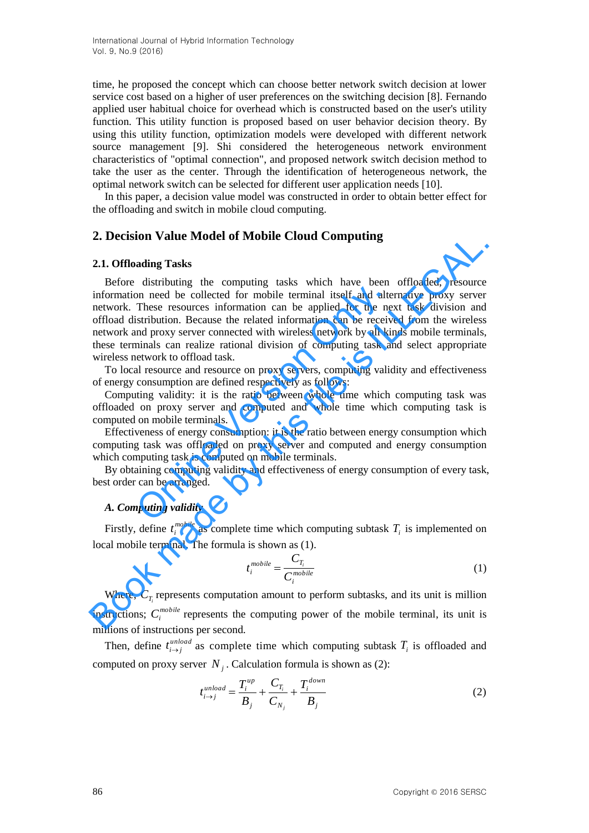time, he proposed the concept which can choose better network switch decision at lower service cost based on a higher of user preferences on the switching decision [8]. Fernando applied user habitual choice for overhead which is constructed based on the user's utility function. This utility function is proposed based on user behavior decision theory. By using this utility function, optimization models were developed with different network source management [9]. Shi considered the heterogeneous network environment characteristics of "optimal connection", and proposed network switch decision method to take the user as the center. Through the identification of heterogeneous network, the optimal network switch can be selected for different user application needs [10].

In this paper, a decision value model was constructed in order to obtain better effect for the offloading and switch in mobile cloud computing.

## **2. Decision Value Model of Mobile Cloud Computing**

#### **2.1. Offloading Tasks**

Before distributing the computing tasks which have been offloaded, resource information need be collected for mobile terminal itself and alternative proxy server network. These resources information can be applied for the next task division and offload distribution. Because the related information can be received from the wireless network and proxy server connected with wireless network by all kinds mobile terminals, these terminals can realize rational division of computing task and select appropriate wireless network to offload task. and moreous controlled the mind itself and alternation and the collected for mobile terminal itself and alternation. Because the related information can be received proxy server connected with wireless network by all kinim **2. Decision Value Model of Mobile Cloud Computing<br>
2.1. Offloading Tasks<br>
Before distributing the computing tasks which have been offloaded, resource<br>
information need be collected for mobile terminal itself and alternat** 

To local resource and resource on proxy servers, computing validity and effectiveness of energy consumption are defined respectively as follows:

Computing validity: it is the ratio between whole time which computing task was offloaded on proxy server and computed and whole time which computing task is computed on mobile terminals.

Effectiveness of energy consumption: it is the ratio between energy consumption which computing task was offloaded on proxy server and computed and energy consumption which computing task is computed on mobile terminals.

By obtaining computing validity and effectiveness of energy consumption of every task, best order can be arranged.

#### *A. Computing validity*

Firstly, define *mobile*  $t_i^{mobile}$  as complete time which computing subtask  $T_i$  is implemented on local mobile terminal. The formula is shown as (1).

$$
t_i^{mobile} = \frac{C_{T_i}}{C_i^{mobile}}
$$
 (1)

Where,  $C_{T_i}$  represents computation amount to perform subtasks, and its unit is million instructions;  $C_i^{mobile}$  represents the computing power of the mobile terminal, its unit is millions of instructions per second.

Then, define  $t_{i \to i}^{unload}$  $t_{i \to j}^{unload}$  as complete time which computing subtask  $T_i$  is offloaded and computed on proxy server  $N_j$ . Calculation formula is shown as (2):

$$
t_{i \to j}^{unload} = \frac{T_i^{up}}{B_j} + \frac{C_{T_i}}{C_{N_j}} + \frac{T_i^{down}}{B_j}
$$
 (2)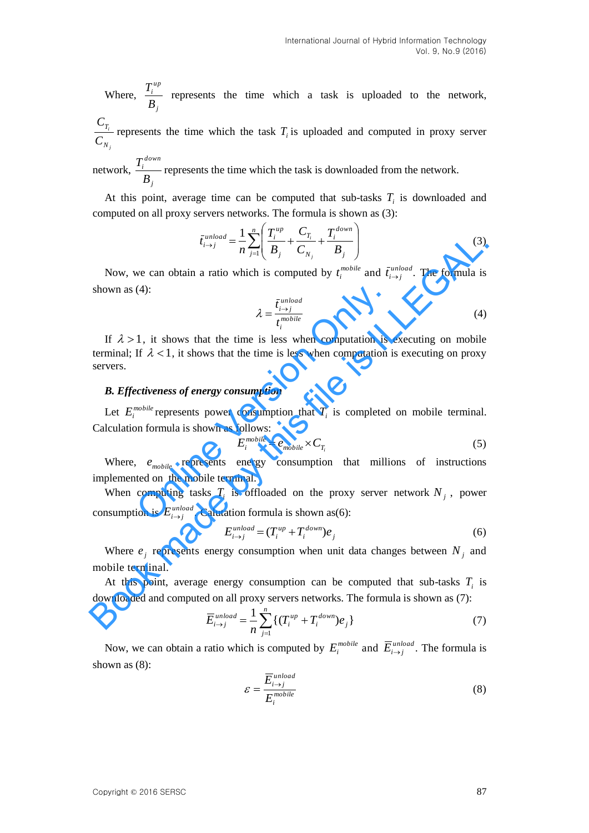Where, *j up i B*  $T_i^{\mu\nu}$  represents the time which a task is uploaded to the network,

*j i N T C C* represents the time which the task  $T_i$  is uploaded and computed in proxy server

network, *j down i B*  $T_i^{down}$  represents the time which the task is downloaded from the network.

At this point, average time can be computed that sub-tasks  $T_i$  is downloaded and computed on all proxy servers networks. The formula is shown as (3):

$$
\bar{t}_{i \to j}^{unload} = \frac{1}{n} \sum_{j=1}^{n} \left( \frac{T_i^{up}}{B_j} + \frac{C_{T_i}}{C_{N_j}} + \frac{T_i^{down}}{B_j} \right)
$$
(3)

Now, we can obtain a ratio which is computed by  $t_i^{mobile}$  $t_i^{mobile}$  and  $\bar{t}_{i \to j}^{unload}$  $\bar{t}_{i \to j}^{unload}$ . The formula is shown as (4):

$$
\lambda = \frac{\bar{t}_{i \to j}}{t_i^{mobile}}
$$
 (4)

If  $\lambda > 1$ , it shows that the time is less when computation is executing on mobile terminal; If  $\lambda < 1$ , it shows that the time is less when computation is executing on proxy servers. (4):<br>  $\lambda = \frac{\bar{t}_{i \to j}^{unload}}{t_i^{mobile}}$ <br>
1, it shows that the time is less when computation is<br>
If  $\lambda < 1$ , it shows that the time is less when computation is<br> *ctiveness of energy consumption*<br> *consumption*<br> *computing* is sh  $\int_{t_1}^{t_1} \frac{t_1}{s_1} dt = \frac{1}{n} \sum_{j=1}^{\infty} \left( \frac{t_j}{B_j} + \frac{t_{j_1}}{C_{N_j}} + \frac{t_{j_1}}{B_j} \right)$  (3)<br>
Now, we can obtain a ratio which is computed by  $t_i^{\text{model}}$  and  $\tilde{t}_{i \to j}^{\text{model}}$ . The formula is<br>
shown as (4):<br>  $\int_{t_i}^{t$ 

#### *B. Effectiveness of energy consumption*

Let  $E_i^{mobile}$  represents power consumption that  $T_i$  is completed on mobile terminal. Calculation formula is shown as follows:

$$
E_i^{mobile} = e_{mobile} \times C_{T_i}
$$
 (5)

Where,  $e_{mobile}$  represents energy consumption that millions of instructions implemented on the mobile terminal.

When computing tasks  $T_i$  is offloaded on the proxy server network  $N_j$ , power consumption is  $E_{i\rightarrow j}^{unload}$ . Calutation formula is shown as(6):

$$
E_{i \to j}^{unload} = (T_i^{up} + T_i^{down})e_j
$$
\n<sup>(6)</sup>

Where  $e_j$  represents energy consumption when unit data changes between  $N_j$  and mobile terminal.

At this point, average energy consumption can be computed that sub-tasks  $T_i$  is downloaded and computed on all proxy servers networks. The formula is shown as (7):

$$
\overline{E}_{i \to j}^{unload} = \frac{1}{n} \sum_{j=1}^{n} \left\{ (T_i^{up} + T_i^{down}) e_j \right\} \tag{7}
$$

Now, we can obtain a ratio which is computed by  $E_i^{mobile}$  and  $\overline{E}_{i \to j}^{unload}$ . The formula is shown as (8):

$$
\mathcal{E} = \frac{\overline{E}_{i \to j}^{unload}}{E_i^{mobile}}
$$
 (8)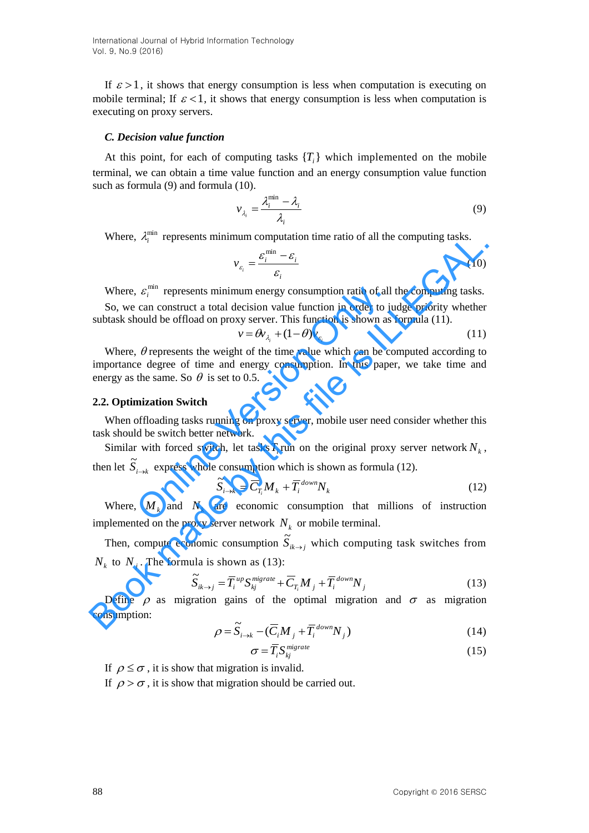If  $\varepsilon > 1$ , it shows that energy consumption is less when computation is executing on mobile terminal; If  $\varepsilon$  < 1, it shows that energy consumption is less when computation is executing on proxy servers.

#### *C. Decision value function*

At this point, for each of computing tasks  ${T_i}$  which implemented on the mobile terminal, we can obtain a time value function and an energy consumption value function such as formula (9) and formula (10).

$$
v_{\lambda_i} = \frac{\lambda_i^{\min} - \lambda_i}{\lambda_i} \tag{9}
$$

Where,  $\lambda_i^{\min}$  represents minimum computation time ratio of all the computing tasks.

$$
v_{\varepsilon_i} = \frac{\varepsilon_i^{\min} - \varepsilon_i}{\varepsilon_i} \tag{10}
$$

Where,  $\varepsilon_i^{\min}$  $\varepsilon_i^{\text{min}}$  represents minimum energy consumption ratio of all the computing tasks.

So, we can construct a total decision value function in order to judge priority whether subtask should be offload on proxy server. This function is shown as formula (11).

$$
v = \theta v_{\lambda_i} + (1 - \theta) v_{\varepsilon_i} \tag{11}
$$

Where,  $\theta$  represents the weight of the time value which can be computed according to importance degree of time and energy consumption. In this paper, we take time and energy as the same. So  $\theta$  is set to 0.5.  $\epsilon_i^{\text{min}}$  represents minimum energy consumption ratio of all<br>can construct a total decision value function in order to ju<br>nould be offload on proxy server. This function is shown as<br> $v = \theta v_{\lambda_i} + (1 - \theta) v_{\varepsilon_i}$ <br> $\theta$  repr Where,  $A_i^{\text{min}}$  represents minimum computation time ratio of all the computing tasks.<br>
Where,  $\mathcal{L}_i^{\text{min}}$  represents minimum energy consumption ratio of all the computing tasks.<br>
So, we can construct a total decisio

#### **2.2. Optimization Switch**

When offloading tasks running on proxy server, mobile user need consider whether this task should be switch better network.

Similar with forced switch, let tasks  $T_i$  run on the original proxy server network  $N_k$ , then let  $\widetilde{S}_{i \to k}$  express whole consumption which is shown as formula (12).

$$
\widetilde{S}_{i \to k} = \overline{C}_{T_i} M_k + \overline{T}_i^{down} N_k
$$
\n(12)

Where,  $M_k$  and  $N_k$  are economic consumption that millions of instruction implemented on the proxy server network  $N_k$  or mobile terminal.

Then, compute economic consumption  $\widetilde{S}_{ik\to j}$  which computing task switches from  $N_k$  to  $N_j$ . The formula is shown as (13):

$$
\widetilde{S}_{ik \to j} = \overline{T_i}^{up} S_{kj}^{migrate} + \overline{C}_{T_i} M_j + \overline{T_i}^{down} N_j
$$
\n(13)

Define  $\rho$  as migration gains of the optimal migration and  $\sigma$  as migration consumption:

$$
\rho = \widetilde{S}_{i \to k} - (\overline{C}_i M_j + \overline{T}_i^{down} N_j)
$$
\n(14)

$$
\sigma = \overline{T}_i S_{kj}^{migrate} \tag{15}
$$

If  $\rho \leq \sigma$ , it is show that migration is invalid.

If  $\rho > \sigma$ , it is show that migration should be carried out.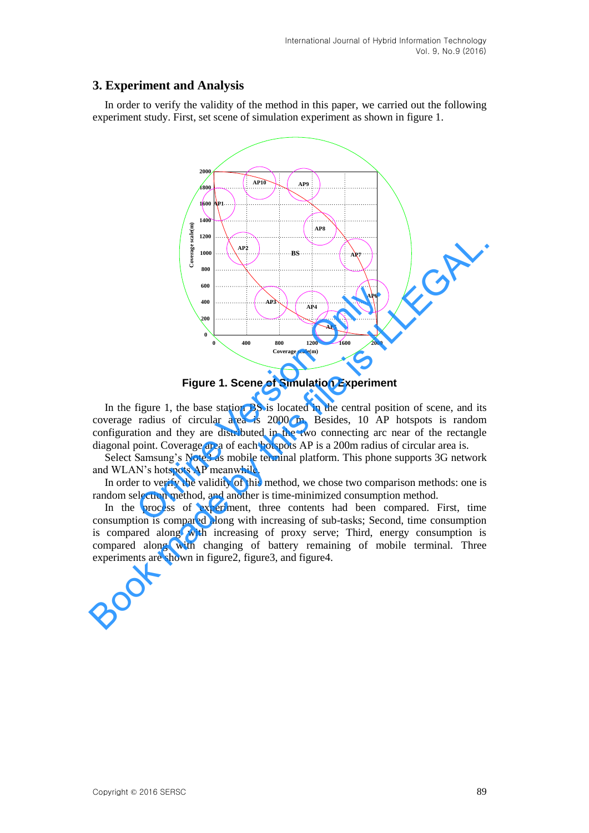## **3. Experiment and Analysis**

In order to verify the validity of the method in this paper, we carried out the following experiment study. First, set scene of simulation experiment as shown in figure 1.



**Figure 1. Scene of Simulation Experiment** 

In the figure 1, the base station BS is located in the central position of scene, and its coverage radius of circular area is 2000 m. Besides, 10 AP hotspots is random configuration and they are distributed in the two connecting arc near of the rectangle diagonal point. Coverage area of each hotspots AP is a 200m radius of circular area is.

Select Samsung's Note3 as mobile terminal platform. This phone supports 3G network and WLAN's hotspots AP meanwhile.

In order to verify the validity of this method, we chose two comparison methods: one is random selection method, and another is time-minimized consumption method.

In the process of experiment, three contents had been compared. First, time consumption is compared along with increasing of sub-tasks; Second, time consumption is compared along with increasing of proxy serve; Third, energy consumption is compared along with changing of battery remaining of mobile terminal. Three experiments are shown in figure2, figure3, and figure4.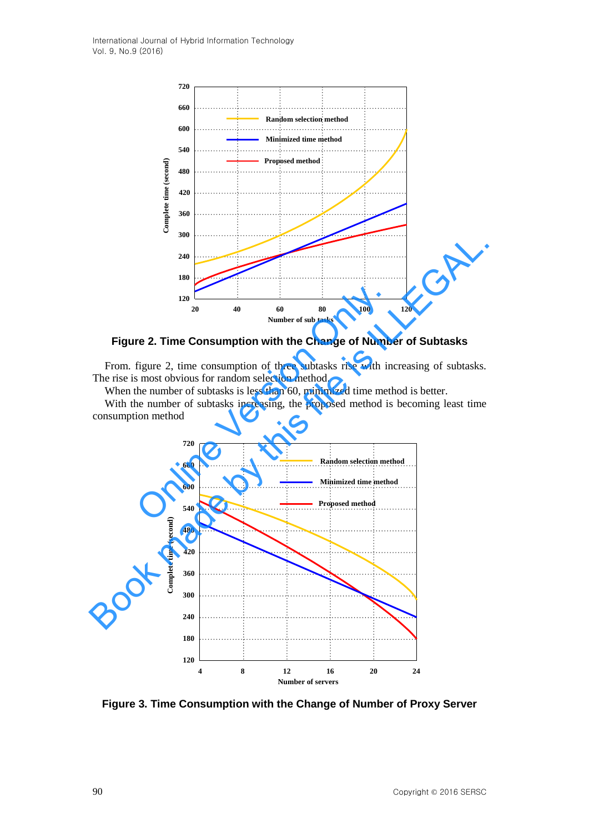

**Figure 2. Time Consumption with the Change of Number of Subtasks** 

From. figure 2, time consumption of three subtasks rise with increasing of subtasks. The rise is most obvious for random selection method.

When the number of subtasks is less than 60, minimized time method is better.

With the number of subtasks increasing, the proposed method is becoming least time consumption method



**Figure 3. Time Consumption with the Change of Number of Proxy Server**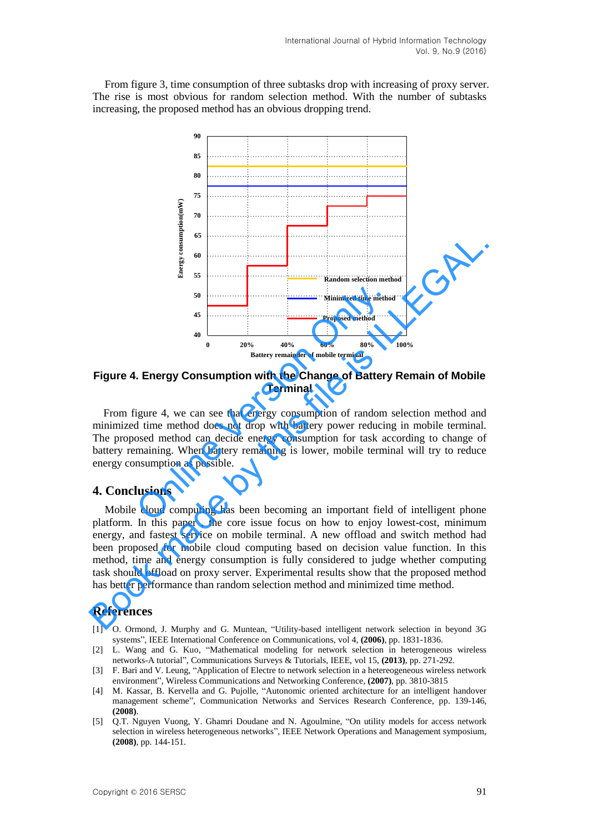From figure 3, time consumption of three subtasks drop with increasing of proxy server. The rise is most obvious for random selection method. With the number of subtasks increasing, the proposed method has an obvious dropping trend.



**Figure 4. Energy Consumption with the Change of Battery Remain of Mobile Terminal** 

From figure 4, we can see that energy consumption of random selection method and minimized time method does not drop with battery power reducing in mobile terminal. The proposed method can decide energy consumption for task according to change of battery remaining. When battery remaining is lower, mobile terminal will try to reduce energy consumption as possible.

#### **4. Conclusions**

Mobile cloud computing has been becoming an important field of intelligent phone platform. In this paper , the core issue focus on how to enjoy lowest-cost, minimum energy, and fastest service on mobile terminal. A new offload and switch method had been proposed for mobile cloud computing based on decision value function. In this method, time and energy consumption is fully considered to judge whether computing task should offload on proxy server. Experimental results show that the proposed method has better performance than random selection method and minimized time method.

### **References**

- [1] O. Ormond, J. Murphy and G. Muntean, "Utility-based intelligent network selection in beyond 3G systems", IEEE International Conference on Communications, vol 4, **(2006)**, pp. 1831-1836.
- [2] L. Wang and G. Kuo, "Mathematical modeling for network selection in heterogeneous wireless networks-A tutorial", Communications Surveys & Tutorials, IEEE, vol 15, **(2013)**, pp. 271-292.
- [3] F. Bari and V. Leung, "Application of Electre to network selection in a hetereogeneous wireless network environment", Wireless Communications and Networking Conference, **(2007)**, pp. 3810-3815
- [4] M. Kassar, B. Kervella and G. Pujolle, "Autonomic oriented architecture for an intelligent handover management scheme", Communication Networks and Services Research Conference, pp. 139-146, **(2008)**.
- [5] Q.T. Nguyen Vuong, Y. Ghamri Doudane and N. Agoulmine, "On utility models for access network selection in wireless heterogeneous networks", IEEE Network Operations and Management symposium, **(2008)**, pp. 144-151.